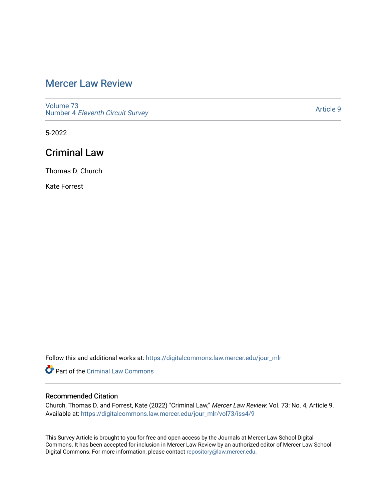# [Mercer Law Review](https://digitalcommons.law.mercer.edu/jour_mlr)

[Volume 73](https://digitalcommons.law.mercer.edu/jour_mlr/vol73) Number 4 [Eleventh Circuit Survey](https://digitalcommons.law.mercer.edu/jour_mlr/vol73/iss4) 

[Article 9](https://digitalcommons.law.mercer.edu/jour_mlr/vol73/iss4/9) 

5-2022

## Criminal Law

Thomas D. Church

Kate Forrest

Follow this and additional works at: [https://digitalcommons.law.mercer.edu/jour\\_mlr](https://digitalcommons.law.mercer.edu/jour_mlr?utm_source=digitalcommons.law.mercer.edu%2Fjour_mlr%2Fvol73%2Fiss4%2F9&utm_medium=PDF&utm_campaign=PDFCoverPages)

Part of the [Criminal Law Commons](https://network.bepress.com/hgg/discipline/912?utm_source=digitalcommons.law.mercer.edu%2Fjour_mlr%2Fvol73%2Fiss4%2F9&utm_medium=PDF&utm_campaign=PDFCoverPages) 

## Recommended Citation

Church, Thomas D. and Forrest, Kate (2022) "Criminal Law," Mercer Law Review: Vol. 73: No. 4, Article 9. Available at: [https://digitalcommons.law.mercer.edu/jour\\_mlr/vol73/iss4/9](https://digitalcommons.law.mercer.edu/jour_mlr/vol73/iss4/9?utm_source=digitalcommons.law.mercer.edu%2Fjour_mlr%2Fvol73%2Fiss4%2F9&utm_medium=PDF&utm_campaign=PDFCoverPages)

This Survey Article is brought to you for free and open access by the Journals at Mercer Law School Digital Commons. It has been accepted for inclusion in Mercer Law Review by an authorized editor of Mercer Law School Digital Commons. For more information, please contact [repository@law.mercer.edu](mailto:repository@law.mercer.edu).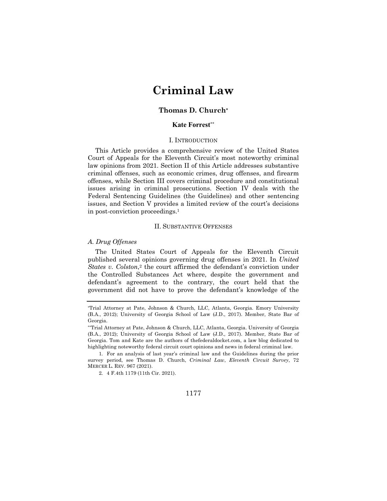# **Criminal Law**

#### **Thomas D. Church\***

### **Kate Forrest\*\***

#### I. INTRODUCTION

This Article provides a comprehensive review of the United States Court of Appeals for the Eleventh Circuit's most noteworthy criminal law opinions from 2021. Section II of this Article addresses substantive criminal offenses, such as economic crimes, drug offenses, and firearm offenses, while Section III covers criminal procedure and constitutional issues arising in criminal prosecutions. Section IV deals with the Federal Sentencing Guidelines (the Guidelines) and other sentencing issues, and Section V provides a limited review of the court's decisions in post-conviction proceedings.1

#### II. SUBSTANTIVE OFFENSES

#### *A. Drug Offenses*

The United States Court of Appeals for the Eleventh Circuit published several opinions governing drug offenses in 2021. In *United States v. Colston*<sup>2</sup> the court affirmed the defendant's conviction under the Controlled Substances Act where, despite the government and defendant's agreement to the contrary, the court held that the government did not have to prove the defendant's knowledge of the

<sup>\*</sup>Trial Attorney at Pate, Johnson & Church, LLC, Atlanta, Georgia. Emory University (B.A., 2012); University of Georgia School of Law (J.D., 2017). Member, State Bar of Georgia.

<sup>\*\*</sup>Trial Attorney at Pate, Johnson & Church, LLC, Atlanta, Georgia. University of Georgia (B.A., 2012); University of Georgia School of Law (J.D., 2017). Member, State Bar of Georgia. Tom and Kate are the authors of thefederaldocket.com, a law blog dedicated to highlighting noteworthy federal circuit court opinions and news in federal criminal law.

<sup>1.</sup> For an analysis of last year's criminal law and the Guidelines during the prior survey period, see Thomas D. Church, *Criminal Law*, *Eleventh Circuit Survey*, 72 MERCER L. REV. 967 (2021).

<sup>2.</sup> 4 F.4th 1179 (11th Cir. 2021).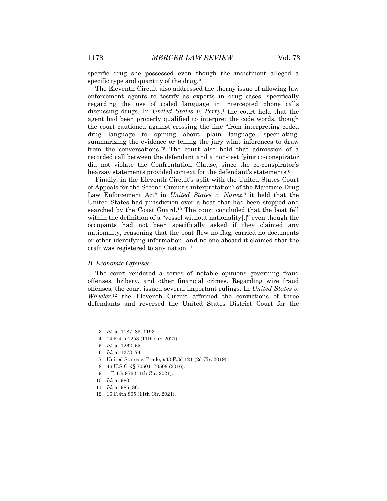specific drug she possessed even though the indictment alleged a specific type and quantity of the drug.<sup>3</sup>

The Eleventh Circuit also addressed the thorny issue of allowing law enforcement agents to testify as experts in drug cases, specifically regarding the use of coded language in intercepted phone calls discussing drugs. In *United States v. Perry*,<sup>4</sup> the court held that the agent had been properly qualified to interpret the code words, though the court cautioned against crossing the line "from interpreting coded drug language to opining about plain language, speculating, summarizing the evidence or telling the jury what inferences to draw from the conversations."5 The court also held that admission of a recorded call between the defendant and a non-testifying co-conspirator did not violate the Confrontation Clause, since the co-conspirator's hearsay statements provided context for the defendant's statements.<sup>6</sup>

Finally, in the Eleventh Circuit's split with the United States Court of Appeals for the Second Circuit's interpretation7 of the Maritime Drug Law Enforcement Act<sup>8</sup> in *United States v. Nunez*,<sup>9</sup> it held that the United States had jurisdiction over a boat that had been stopped and searched by the Coast Guard.10 The court concluded that the boat fell within the definition of a "vessel without nationality[,]" even though the occupants had not been specifically asked if they claimed any nationality, reasoning that the boat flew no flag, carried no documents or other identifying information, and no one aboard it claimed that the craft was registered to any nation.11

#### *B. Economic Offenses*

The court rendered a series of notable opinions governing fraud offenses, bribery, and other financial crimes. Regarding wire fraud offenses, the court issued several important rulings. In *United States v. Wheeler*,<sup>12</sup> the Eleventh Circuit affirmed the convictions of three defendants and reversed the United States District Court for the

<sup>3</sup>*. Id.* at 1187–89, 1193.

<sup>4.</sup> 14 F.4th 1253 (11th Cir. 2021).

<sup>5</sup>*. Id.* at 1262–65.

<sup>6</sup>*. Id.* at 1273–74.

<sup>7.</sup> United States v. Prado, 933 F.3d 121 (2d Cir. 2019).

<sup>8.</sup> 46 U.S.C. §§ 70501–70508 (2016).

<sup>9.</sup> 1 F.4th 976 (11th Cir. 2021).

<sup>10</sup>*. Id.* at 980.

<sup>11</sup>*. Id.* at 985–86.

<sup>12.</sup> 16 F.4th 805 (11th Cir. 2021).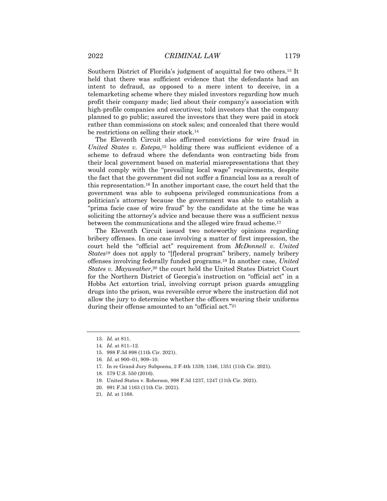Southern District of Florida's judgment of acquittal for two others.13 It held that there was sufficient evidence that the defendants had an intent to defraud, as opposed to a mere intent to deceive, in a telemarketing scheme where they misled investors regarding how much profit their company made; lied about their company's association with high-profile companies and executives; told investors that the company planned to go public; assured the investors that they were paid in stock rather than commissions on stock sales; and concealed that there would be restrictions on selling their stock.14

The Eleventh Circuit also affirmed convictions for wire fraud in *United States v. Estepa*,<sup>15</sup> holding there was sufficient evidence of a scheme to defraud where the defendants won contracting bids from their local government based on material misrepresentations that they would comply with the "prevailing local wage" requirements, despite the fact that the government did not suffer a financial loss as a result of this representation.16 In another important case, the court held that the government was able to subpoena privileged communications from a politician's attorney because the government was able to establish a "prima facie case of wire fraud" by the candidate at the time he was soliciting the attorney's advice and because there was a sufficient nexus between the communications and the alleged wire fraud scheme.<sup>17</sup>

The Eleventh Circuit issued two noteworthy opinions regarding bribery offenses. In one case involving a matter of first impression, the court held the "official act" requirement from *McDonnell v. United States*<sup>18</sup> does not apply to "[f]ederal program" bribery, namely bribery offenses involving federally funded programs.19 In another case, *United States v. Mayweather*,20 the court held the United States District Court for the Northern District of Georgia's instruction on "official act" in a Hobbs Act extortion trial, involving corrupt prison guards smuggling drugs into the prison, was reversible error where the instruction did not allow the jury to determine whether the officers wearing their uniforms during their offense amounted to an "official act."21

<sup>13</sup>*. Id.* at 811.

<sup>14</sup>*. Id.* at 811–12.

<sup>15.</sup> 998 F.3d 898 (11th Cir. 2021).

<sup>16</sup>*. Id.* at 900–01, 909–10.

<sup>17.</sup> In re Grand Jury Subpoena, 2 F.4th 1339, 1346, 1351 (11th Cir. 2021).

<sup>18.</sup> 579 U.S. 550 (2016).

<sup>19.</sup> United States v. Roberson, 998 F.3d 1237, 1247 (11th Cir. 2021).

<sup>20.</sup> 991 F.3d 1163 (11th Cir. 2021).

<sup>21</sup>*. Id.* at 1168.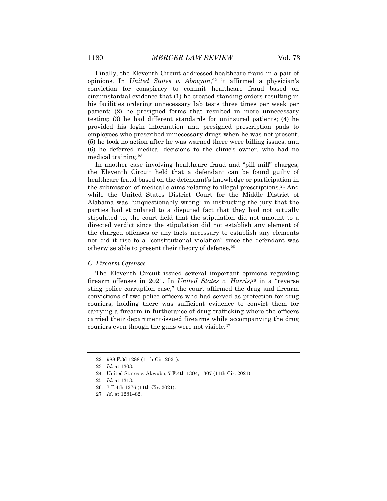Finally, the Eleventh Circuit addressed healthcare fraud in a pair of opinions. In *United States v. Abovyan*,22 it affirmed a physician's conviction for conspiracy to commit healthcare fraud based on circumstantial evidence that (1) he created standing orders resulting in his facilities ordering unnecessary lab tests three times per week per patient; (2) he presigned forms that resulted in more unnecessary testing; (3) he had different standards for uninsured patients; (4) he provided his login information and presigned prescription pads to employees who prescribed unnecessary drugs when he was not present; (5) he took no action after he was warned there were billing issues; and (6) he deferred medical decisions to the clinic's owner, who had no medical training.23

In another case involving healthcare fraud and "pill mill" charges, the Eleventh Circuit held that a defendant can be found guilty of healthcare fraud based on the defendant's knowledge or participation in the submission of medical claims relating to illegal prescriptions.24 And while the United States District Court for the Middle District of Alabama was "unquestionably wrong" in instructing the jury that the parties had stipulated to a disputed fact that they had not actually stipulated to, the court held that the stipulation did not amount to a directed verdict since the stipulation did not establish any element of the charged offenses or any facts necessary to establish any elements nor did it rise to a "constitutional violation" since the defendant was otherwise able to present their theory of defense.25

#### *C. Firearm Offenses*

The Eleventh Circuit issued several important opinions regarding firearm offenses in 2021. In *United States v. Harris*,<sup>26</sup> in a "reverse sting police corruption case," the court affirmed the drug and firearm convictions of two police officers who had served as protection for drug couriers, holding there was sufficient evidence to convict them for carrying a firearm in furtherance of drug trafficking where the officers carried their department-issued firearms while accompanying the drug couriers even though the guns were not visible.<sup>27</sup>

<sup>22.</sup> 988 F.3d 1288 (11th Cir. 2021).

<sup>23</sup>*. Id.* at 1303.

<sup>24.</sup> United States v. Akwuba, 7 F.4th 1304, 1307 (11th Cir. 2021).

<sup>25</sup>*. Id*. at 1313.

<sup>26.</sup> 7 F.4th 1276 (11th Cir. 2021).

<sup>27</sup>*. Id.* at 1281–82.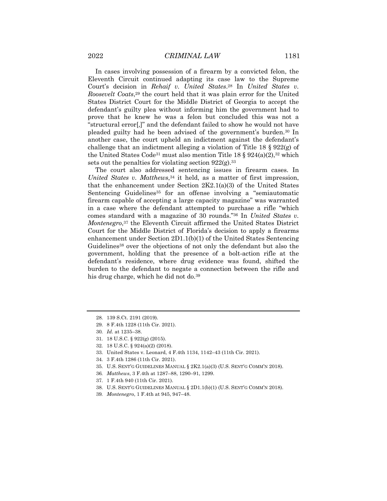In cases involving possession of a firearm by a convicted felon, the Eleventh Circuit continued adapting its case law to the Supreme Court's decision in *Rehaif v. United States*.28 In *United States v. Roosevelt Coats*,29 the court held that it was plain error for the United States District Court for the Middle District of Georgia to accept the defendant's guilty plea without informing him the government had to prove that he knew he was a felon but concluded this was not a "structural error[,]" and the defendant failed to show he would not have pleaded guilty had he been advised of the government's burden.30 In another case, the court upheld an indictment against the defendant's challenge that an indictment alleging a violation of Title 18  $\S 922(g)$  of the United States Code<sup>31</sup> must also mention Title 18  $\S 924(a)(2),$ <sup>32</sup> which sets out the penalties for violating section  $922(g).$ <sup>33</sup>

The court also addressed sentencing issues in firearm cases. In *United States v. Matthews*,<sup>34</sup> it held, as a matter of first impression, that the enhancement under Section  $2K2.1(a)(3)$  of the United States Sentencing Guidelines<sup>35</sup> for an offense involving a "semiautomatic firearm capable of accepting a large capacity magazine" was warranted in a case where the defendant attempted to purchase a rifle "which comes standard with a magazine of 30 rounds."36 In *United States v. Montenegro*,37 the Eleventh Circuit affirmed the United States District Court for the Middle District of Florida's decision to apply a firearms enhancement under Section 2D1.1(b)(1) of the United States Sentencing Guidelines38 over the objections of not only the defendant but also the government, holding that the presence of a bolt-action rifle at the defendant's residence, where drug evidence was found, shifted the burden to the defendant to negate a connection between the rifle and his drug charge, which he did not do.39

<sup>28.</sup> 139 S.Ct. 2191 (2019).

<sup>29.</sup> 8 F.4th 1228 (11th Cir. 2021).

<sup>30</sup>*. Id.* at 1235–38.

<sup>31.</sup> 18 U.S.C. § 922(g) (2015).

<sup>32.</sup> 18 U.S.C. § 924(a)(2) (2018).

<sup>33.</sup> United States v. Leonard, 4 F.4th 1134, 1142–43 (11th Cir. 2021).

<sup>34.</sup> 3 F.4th 1286 (11th Cir. 2021).

<sup>35.</sup> U.S. SENT'G GUIDELINES MANUAL § 2K2.1(a)(3) (U.S. SENT'G COMM'N 2018).

<sup>36</sup>*. Matthews*, 3 F.4th at 1287–88, 1290–91, 1299.

<sup>37.</sup> 1 F.4th 940 (11th Cir. 2021).

<sup>38.</sup> U.S. SENT'G GUIDELINES MANUAL § 2D1.1(b)(1) (U.S. SENT'G COMM'N 2018).

<sup>39</sup>*. Montenegro*, 1 F.4th at 945, 947–48.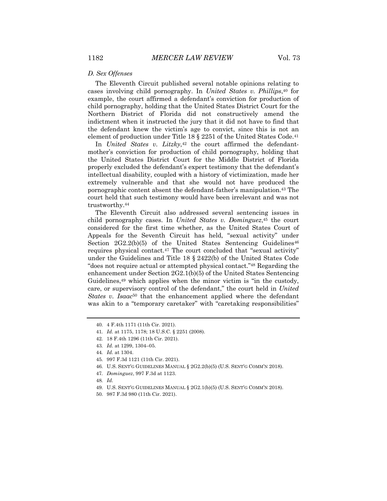The Eleventh Circuit published several notable opinions relating to cases involving child pornography. In *United States v. Phillips*,40 for example, the court affirmed a defendant's conviction for production of child pornography, holding that the United States District Court for the Northern District of Florida did not constructively amend the indictment when it instructed the jury that it did not have to find that the defendant knew the victim's age to convict, since this is not an element of production under Title  $18 \tbinom{2251}{4}$  of the United States Code.<sup>41</sup>

In *United States v. Litzky*,<sup>42</sup> the court affirmed the defendantmother's conviction for production of child pornography, holding that the United States District Court for the Middle District of Florida properly excluded the defendant's expert testimony that the defendant's intellectual disability, coupled with a history of victimization, made her extremely vulnerable and that she would not have produced the pornographic content absent the defendant-father's manipulation.43 The court held that such testimony would have been irrelevant and was not trustworthy.44

The Eleventh Circuit also addressed several sentencing issues in child pornography cases. In *United States v. Dominguez*,45 the court considered for the first time whether, as the United States Court of Appeals for the Seventh Circuit has held, "sexual activity" under Section  $2G2.2(b)(5)$  of the United States Sentencing Guidelines<sup>46</sup> requires physical contact.47 The court concluded that "sexual activity" under the Guidelines and Title  $18 \t3 2422(b)$  of the United States Code "does not require actual or attempted physical contact."48 Regarding the enhancement under Section 2G2.1(b)(5) of the United States Sentencing Guidelines,<sup>49</sup> which applies when the minor victim is "in the custody, care, or supervisory control of the defendant," the court held in *United States v. Isaac*<sup>50</sup> that the enhancement applied where the defendant was akin to a "temporary caretaker" with "caretaking responsibilities"

48*. Id.*

<sup>40.</sup> 4 F.4th 1171 (11th Cir. 2021).

<sup>41</sup>*. Id.* at 1175, 1178; 18 U.S.C. § 2251 (2008).

<sup>42.</sup> 18 F.4th 1296 (11th Cir. 2021).

<sup>43</sup>*. Id.* at 1299, 1304–05.

<sup>44</sup>*. Id.* at 1304.

<sup>45.</sup> 997 F.3d 1121 (11th Cir. 2021).

<sup>46.</sup> U.S. SENT'G GUIDELINES MANUAL § 2G2.2(b)(5) (U.S. SENT'G COMM'N 2018).

<sup>47</sup>*. Dominguez*, 997 F.3d at 1123.

<sup>49.</sup> U.S. SENT'G GUIDELINES MANUAL § 2G2.1(b)(5) (U.S. SENT'G COMM'N 2018).

<sup>50.</sup> 987 F.3d 980 (11th Cir. 2021).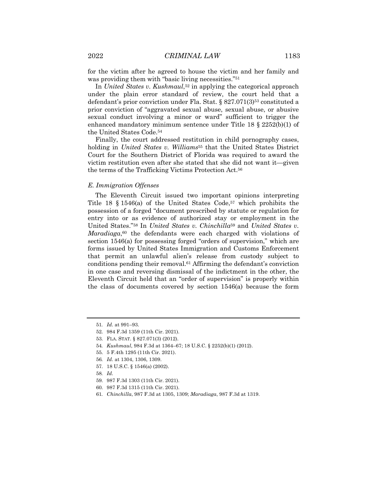for the victim after he agreed to house the victim and her family and was providing them with "basic living necessities."51

In *United States v. Kushmaul*,52 in applying the categorical approach under the plain error standard of review, the court held that a defendant's prior conviction under Fla. Stat.  $\S 827.071(3)^{53}$  constituted a prior conviction of "aggravated sexual abuse, sexual abuse, or abusive sexual conduct involving a minor or ward" sufficient to trigger the enhanced mandatory minimum sentence under Title 18 § 2252(b)(1) of the United States Code.54

Finally, the court addressed restitution in child pornography cases, holding in *United States v. Williams*<sup>55</sup> that the United States District Court for the Southern District of Florida was required to award the victim restitution even after she stated that she did not want it—given the terms of the Trafficking Victims Protection Act.56

#### *E. Immigration Offenses*

The Eleventh Circuit issued two important opinions interpreting Title 18  $\S$  1546(a) of the United States Code,<sup>57</sup> which prohibits the possession of a forged "document prescribed by statute or regulation for entry into or as evidence of authorized stay or employment in the United States."58 In *United States v. Chinchilla*<sup>59</sup> and *United States v. Maradiaga*,<sup>60</sup> the defendants were each charged with violations of section 1546(a) for possessing forged "orders of supervision," which are forms issued by United States Immigration and Customs Enforcement that permit an unlawful alien's release from custody subject to conditions pending their removal.61 Affirming the defendant's conviction in one case and reversing dismissal of the indictment in the other, the Eleventh Circuit held that an "order of supervision" is properly within the class of documents covered by section 1546(a) because the form

- 54*. Kushmaul*, 984 F.3d at 1364–67; 18 U.S.C. § 2252(b)(1) (2012).
- 55. 5 F.4th 1295 (11th Cir. 2021).
- 56*. Id.* at 1304, 1306, 1309.
- 57. 18 U.S.C. § 1546(a) (2002).
- 58*. Id.*
- 59. 987 F.3d 1303 (11th Cir. 2021).
- 60. 987 F.3d 1315 (11th Cir. 2021).
- 61*. Chinchilla*, 987 F.3d at 1305, 1309; *Maradiaga*, 987 F.3d at 1319.

<sup>51</sup>*. Id.* at 991–93.

<sup>52.</sup> 984 F.3d 1359 (11th Cir. 2021).

<sup>53.</sup> FLA. STAT. § 827.071(3) (2012).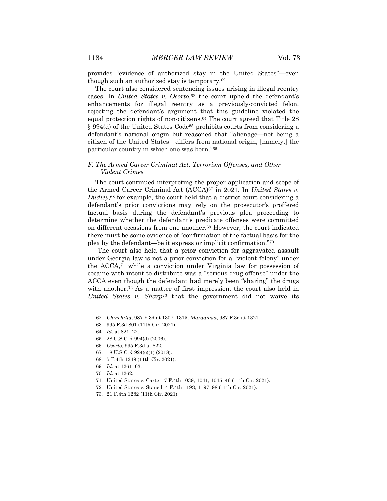provides "evidence of authorized stay in the United States"—even though such an authorized stay is temporary.62

The court also considered sentencing issues arising in illegal reentry cases. In *United States v. Osorto*,<sup>63</sup> the court upheld the defendant's enhancements for illegal reentry as a previously-convicted felon, rejecting the defendant's argument that this guideline violated the equal protection rights of non-citizens.64 The court agreed that Title 28 § 994(d) of the United States Code65 prohibits courts from considering a defendant's national origin but reasoned that "alienage—not being a citizen of the United States—differs from national origin, [namely,] the particular country in which one was born."66

#### *F. The Armed Career Criminal Act, Terrorism Offenses, and Other Violent Crimes*

The court continued interpreting the proper application and scope of the Armed Career Criminal Act (ACCA)67 in 2021. In *United States v. Dudley*,68 for example, the court held that a district court considering a defendant's prior convictions may rely on the prosecutor's proffered factual basis during the defendant's previous plea proceeding to determine whether the defendant's predicate offenses were committed on different occasions from one another.69 However, the court indicated there must be some evidence of "confirmation of the factual basis for the plea by the defendant—be it express or implicit confirmation."70

The court also held that a prior conviction for aggravated assault under Georgia law is not a prior conviction for a "violent felony" under the ACCA,71 while a conviction under Virginia law for possession of cocaine with intent to distribute was a "serious drug offense" under the ACCA even though the defendant had merely been "sharing" the drugs with another.<sup>72</sup> As a matter of first impression, the court also held in *United States v. Sharp*<sup>73</sup> that the government did not waive its

- 71. United States v. Carter, 7 F.4th 1039, 1041, 1045–46 (11th Cir. 2021).
- 72. United States v. Stancil, 4 F.4th 1193, 1197–98 (11th Cir. 2021).

<sup>62</sup>*. Chinchilla*, 987 F.3d at 1307, 1315; *Maradiaga*, 987 F.3d at 1321.

<sup>63.</sup> 995 F.3d 801 (11th Cir. 2021).

<sup>64</sup>*. Id.* at 821–22.

<sup>65.</sup> 28 U.S.C. § 994(d) (2006).

<sup>66</sup>*. Osorto*, 995 F.3d at 822.

<sup>67.</sup> 18 U.S.C. § 924(e)(1) (2018).

<sup>68.</sup> 5 F.4th 1249 (11th Cir. 2021).

<sup>69</sup>*. Id.* at 1261–63.

<sup>70</sup>*. Id*. at 1262.

<sup>73.</sup> 21 F.4th 1282 (11th Cir. 2021).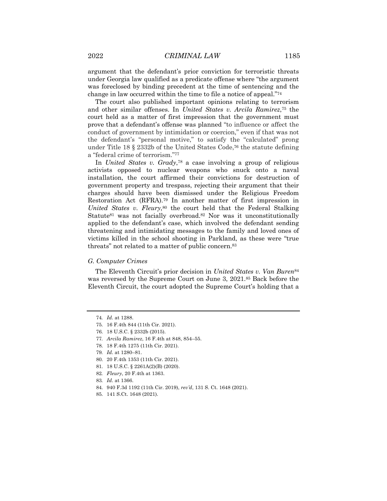argument that the defendant's prior conviction for terroristic threats under Georgia law qualified as a predicate offense where "the argument was foreclosed by binding precedent at the time of sentencing and the change in law occurred within the time to file a notice of appeal."74

The court also published important opinions relating to terrorism and other similar offenses. In *United States v. Arcila Ramirez*,75 the court held as a matter of first impression that the government must prove that a defendant's offense was planned "to influence or affect the conduct of government by intimidation or coercion," even if that was not the defendant's "personal motive," to satisfy the "calculated" prong under Title 18 § 2332b of the United States Code,76 the statute defining a "federal crime of terrorism."77

In *United States v. Grady*,78 a case involving a group of religious activists opposed to nuclear weapons who snuck onto a naval installation, the court affirmed their convictions for destruction of government property and trespass, rejecting their argument that their charges should have been dismissed under the Religious Freedom Restoration Act (RFRA).79 In another matter of first impression in *United States v. Fleury*,<sup>80</sup> the court held that the Federal Stalking Statute81 was not facially overbroad.82 Nor was it unconstitutionally applied to the defendant's case, which involved the defendant sending threatening and intimidating messages to the family and loved ones of victims killed in the school shooting in Parkland, as these were "true threats" not related to a matter of public concern.83

#### *G. Computer Crimes*

The Eleventh Circuit's prior decision in *United States v. Van Buren*<sup>84</sup> was reversed by the Supreme Court on June 3, 2021.85 Back before the Eleventh Circuit, the court adopted the Supreme Court's holding that a

78. 18 F.4th 1275 (11th Cir. 2021).

- 84. 940 F.3d 1192 (11th Cir. 2019), *rev'd*, 131 S. Ct. 1648 (2021).
- 85. 141 S.Ct. 1648 (2021).

<sup>74</sup>*. Id.* at 1288.

<sup>75.</sup> 16 F.4th 844 (11th Cir. 2021).

<sup>76.</sup> 18 U.S.C. § 2332b (2015).

<sup>77</sup>*. Arcila Ramirez*, 16 F.4th at 848, 854–55.

<sup>79</sup>*. Id.* at 1280–81.

<sup>80.</sup> 20 F.4th 1353 (11th Cir. 2021).

<sup>81.</sup> 18 U.S.C. § 2261A(2)(B) (2020).

<sup>82</sup>*. Fleury*, 20 F.4th at 1363.

<sup>83</sup>*. Id*. at 1366.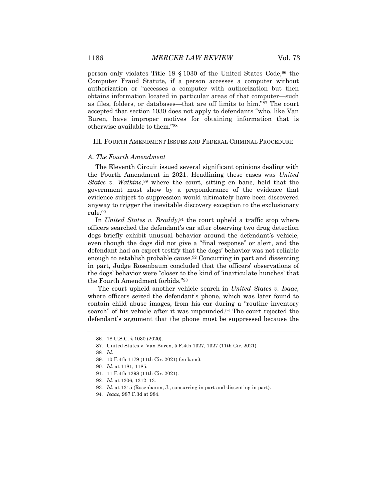person only violates Title  $18 \t{5} 1030$  of the United States Code,  $86$  the Computer Fraud Statute, if a person accesses a computer without authorization or "accesses a computer with authorization but then obtains information located in particular areas of that computer—such as files, folders, or databases—that are off limits to him."87 The court accepted that section 1030 does not apply to defendants "who, like Van Buren, have improper motives for obtaining information that is otherwise available to them."88

#### III. FOURTH AMENDMENT ISSUES AND FEDERAL CRIMINAL PROCEDURE

#### *A. The Fourth Amendment*

The Eleventh Circuit issued several significant opinions dealing with the Fourth Amendment in 2021. Headlining these cases was *United States v. Watkins*<sup>89</sup> where the court, sitting en banc, held that the government must show by a preponderance of the evidence that evidence subject to suppression would ultimately have been discovered anyway to trigger the inevitable discovery exception to the exclusionary rule.90

In *United States v. Braddy*,<sup>91</sup> the court upheld a traffic stop where officers searched the defendant's car after observing two drug detection dogs briefly exhibit unusual behavior around the defendant's vehicle, even though the dogs did not give a "final response" or alert, and the defendant had an expert testify that the dogs' behavior was not reliable enough to establish probable cause.92 Concurring in part and dissenting in part, Judge Rosenbaum concluded that the officers' observations of the dogs' behavior were "closer to the kind of 'inarticulate hunches' that the Fourth Amendment forbids."93

The court upheld another vehicle search in *United States v. Isaac*, where officers seized the defendant's phone, which was later found to contain child abuse images, from his car during a "routine inventory search" of his vehicle after it was impounded.94 The court rejected the defendant's argument that the phone must be suppressed because the

<sup>86.</sup> 18 U.S.C. § 1030 (2020).

<sup>87.</sup> United States v. Van Buren, 5 F.4th 1327, 1327 (11th Cir. 2021).

<sup>88</sup>*. Id*.

<sup>89.</sup> 10 F.4th 1179 (11th Cir. 2021) (en banc).

<sup>90</sup>*. Id.* at 1181, 1185.

<sup>91.</sup> 11 F.4th 1298 (11th Cir. 2021).

<sup>92</sup>*. Id.* at 1306, 1312–13.

<sup>93</sup>*. Id*. at 1315 (Rosenbaum, J., concurring in part and dissenting in part).

<sup>94</sup>*. Isaac*, 987 F.3d at 984.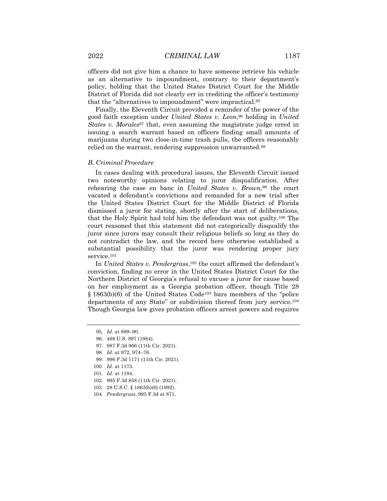officers did not give him a chance to have someone retrieve his vehicle as an alternative to impoundment, contrary to their department's policy, holding that the United States District Court for the Middle District of Florida did not clearly err in crediting the officer's testimony that the "alternatives to impoundment" were impractical.95

Finally, the Eleventh Circuit provided a reminder of the power of the good faith exception under *United States v. Leon*,96 holding in *United States v. Morales*<sup>97</sup> that, even assuming the magistrate judge erred in issuing a search warrant based on officers finding small amounts of marijuana during two close-in-time trash pulls, the officers reasonably relied on the warrant, rendering suppression unwarranted.98

#### *B. Criminal Procedure*

In cases dealing with procedural issues, the Eleventh Circuit issued two noteworthy opinions relating to juror disqualification. After rehearing the case en banc in *United States v. Brown,*<sup>99</sup> the court vacated a defendant's convictions and remanded for a new trial after the United States District Court for the Middle District of Florida dismissed a juror for stating, shortly after the start of deliberations, that the Holy Spirit had told him the defendant was not guilty.100 The court reasoned that this statement did not categorically disqualify the juror since jurors may consult their religious beliefs so long as they do not contradict the law, and the record here otherwise established a substantial possibility that the juror was rendering proper jury service.<sup>101</sup>

In *United States v. Pendergrass*,102 the court affirmed the defendant's conviction, finding no error in the United States District Court for the Northern District of Georgia's refusal to excuse a juror for cause based on her employment as a Georgia probation officer, though Title 28 § 1863(b)(6) of the United States Code103 bars members of the "police departments of any State" or subdivision thereof from jury service.104 Though Georgia law gives probation officers arrest powers and requires

97. 987 F.3d 966 (11th Cir. 2021).

- 102. 995 F.3d 858 (11th Cir. 2021).
- 103. 28 U.S.C. § 1863(b)(6) (1992).
- 104*. Pendergrass*, 995 F.3d at 871.

<sup>95</sup>*. Id*. at 989–90.

<sup>96.</sup> 468 U.S. 897 (1984).

<sup>98</sup>*. Id.* at 972, 974–76.

<sup>99.</sup> 996 F.3d 1171 (11th Cir. 2021).

<sup>100</sup>*. Id.* at 1175.

<sup>101</sup>*. Id.* at 1194.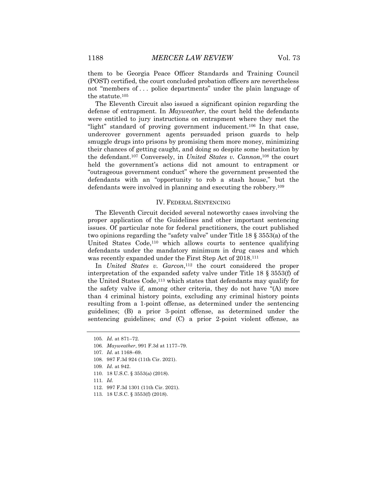them to be Georgia Peace Officer Standards and Training Council (POST) certified, the court concluded probation officers are nevertheless not "members of . . . police departments" under the plain language of the statute.105

The Eleventh Circuit also issued a significant opinion regarding the defense of entrapment. In *Mayweather*, the court held the defendants were entitled to jury instructions on entrapment where they met the "light" standard of proving government inducement.<sup>106</sup> In that case, undercover government agents persuaded prison guards to help smuggle drugs into prisons by promising them more money, minimizing their chances of getting caught, and doing so despite some hesitation by the defendant.107 Conversely, in *United States v. Cannon*,108 the court held the government's actions did not amount to entrapment or "outrageous government conduct" where the government presented the defendants with an "opportunity to rob a stash house," but the defendants were involved in planning and executing the robbery.109

#### IV. FEDERAL SENTENCING

The Eleventh Circuit decided several noteworthy cases involving the proper application of the Guidelines and other important sentencing issues. Of particular note for federal practitioners, the court published two opinions regarding the "safety valve" under Title 18 § 3553(a) of the United States Code,<sup>110</sup> which allows courts to sentence qualifying defendants under the mandatory minimum in drug cases and which was recently expanded under the First Step Act of 2018.<sup>111</sup>

In *United States v. Garcon*,<sup>112</sup> the court considered the proper interpretation of the expanded safety valve under Title 18 § 3553(f) of the United States Code,113 which states that defendants may qualify for the safety valve if, among other criteria, they do not have "(A) more than 4 criminal history points, excluding any criminal history points resulting from a 1-point offense, as determined under the sentencing guidelines; (B) a prior 3-point offense, as determined under the sentencing guidelines; *and* (C) a prior 2-point violent offense, as

- 111*. Id.*
- 112. 997 F.3d 1301 (11th Cir. 2021).
- 113. 18 U.S.C. § 3553(f) (2018).

<sup>105</sup>*. Id.* at 871–72.

<sup>106</sup>*. Mayweather*, 991 F.3d at 1177–79.

<sup>107</sup>*. Id*. at 1168–69.

<sup>108.</sup> 987 F.3d 924 (11th Cir. 2021).

<sup>109</sup>*. Id*. at 942.

<sup>110.</sup> 18 U.S.C. § 3553(a) (2018).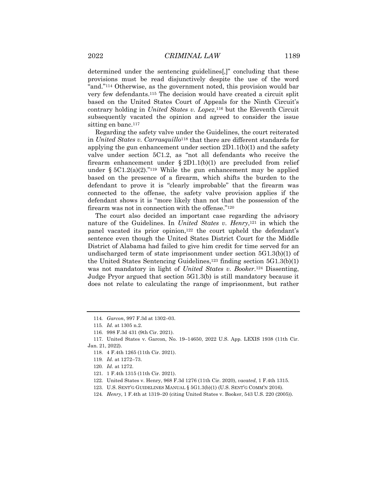determined under the sentencing guidelines[,]" concluding that these provisions must be read disjunctively despite the use of the word "and."114 Otherwise, as the government noted, this provision would bar very few defendants.115 The decision would have created a circuit split based on the United States Court of Appeals for the Ninth Circuit's contrary holding in *United States v. Lopez*,<sup>116</sup> but the Eleventh Circuit subsequently vacated the opinion and agreed to consider the issue sitting en banc.<sup>117</sup>

Regarding the safety valve under the Guidelines, the court reiterated in *United States v. Carrasquillo*<sup>118</sup> that there are different standards for applying the gun enhancement under section  $2D1.1(b)(1)$  and the safety valve under section 5C1.2, as "not all defendants who receive the firearm enhancement under  $\S 2D1.1(b)(1)$  are precluded from relief under §  $5C1.2(a)(2)$ ."<sup>119</sup> While the gun enhancement may be applied based on the presence of a firearm, which shifts the burden to the defendant to prove it is "clearly improbable" that the firearm was connected to the offense, the safety valve provision applies if the defendant shows it is "more likely than not that the possession of the firearm was not in connection with the offense."120

The court also decided an important case regarding the advisory nature of the Guidelines. In *United States v. Henry*,121 in which the panel vacated its prior opinion,122 the court upheld the defendant's sentence even though the United States District Court for the Middle District of Alabama had failed to give him credit for time served for an undischarged term of state imprisonment under section 5G1.3(b)(1) of the United States Sentencing Guidelines,123 finding section 5G1.3(b)(1) was not mandatory in light of *United States v. Booker*.124 Dissenting, Judge Pryor argued that section 5G1.3(b) is still mandatory because it does not relate to calculating the range of imprisonment, but rather

<sup>114</sup>*. Garcon*, 997 F.3d at 1302–03.

<sup>115</sup>*. Id*. at 1305 n.2.

<sup>116.</sup> 998 F.3d 431 (9th Cir. 2021).

<sup>117.</sup> United States v. Garcon, No. 19–14650, 2022 U.S. App. LEXIS 1938 (11th Cir. Jan. 21, 2022).

<sup>118.</sup> 4 F.4th 1265 (11th Cir. 2021).

<sup>119</sup>*. Id.* at 1272–73.

<sup>120</sup>*. Id*. at 1272.

<sup>121.</sup> 1 F.4th 1315 (11th Cir. 2021).

<sup>122.</sup> United States v. Henry, 968 F.3d 1276 (11th Cir. 2020), *vacated*, 1 F.4th 1315.

<sup>123.</sup> U.S. SENT'G GUIDELINES MANUAL § 5G1.3(b)(1) (U.S. SENT'G COMM'N 2016).

<sup>124</sup>*. Henry*, 1 F.4th at 1319–20 (citing United States v. Booker, 543 U.S. 220 (2005)).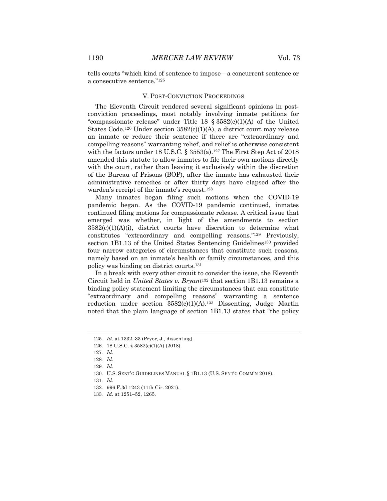tells courts "which kind of sentence to impose—a concurrent sentence or a consecutive sentence."125

#### V. POST-CONVICTION PROCEEDINGS

The Eleventh Circuit rendered several significant opinions in postconviction proceedings, most notably involving inmate petitions for "compassionate release" under Title 18  $\S 3582(c)(1)(A)$  of the United States Code.<sup>126</sup> Under section  $3582(c)(1)(A)$ , a district court may release an inmate or reduce their sentence if there are "extraordinary and compelling reasons" warranting relief, and relief is otherwise consistent with the factors under 18 U.S.C.  $\S 3553(a)$ .<sup>127</sup> The First Step Act of 2018 amended this statute to allow inmates to file their own motions directly with the court, rather than leaving it exclusively within the discretion of the Bureau of Prisons (BOP), after the inmate has exhausted their administrative remedies or after thirty days have elapsed after the warden's receipt of the inmate's request.<sup>128</sup>

Many inmates began filing such motions when the COVID-19 pandemic began. As the COVID-19 pandemic continued, inmates continued filing motions for compassionate release. A critical issue that emerged was whether, in light of the amendments to section  $3582(c)(1)(A)(i)$ , district courts have discretion to determine what constitutes "extraordinary and compelling reasons."129 Previously, section 1B1.13 of the United States Sentencing Guidelines<sup>130</sup> provided four narrow categories of circumstances that constitute such reasons, namely based on an inmate's health or family circumstances, and this policy was binding on district courts.131

In a break with every other circuit to consider the issue, the Eleventh Circuit held in *United States v. Bryant*<sup>132</sup> that section 1B1.13 remains a binding policy statement limiting the circumstances that can constitute "extraordinary and compelling reasons" warranting a sentence reduction under section  $3582(c)(1)(A).$ <sup>133</sup> Dissenting, Judge Martin noted that the plain language of section 1B1.13 states that "the policy

<sup>125</sup>*. Id.* at 1332–33 (Pryor, J., dissenting).

<sup>126.</sup> 18 U.S.C. § 3582(c)(1)(A) (2018).

<sup>127</sup>*. Id.*

<sup>128</sup>*. Id.*

<sup>129</sup>*. Id.*

<sup>130.</sup> U.S. SENT'G GUIDELINES MANUAL § 1B1.13 (U.S. SENT'G COMM'N 2018).

<sup>131</sup>*. Id.*

<sup>132.</sup> 996 F.3d 1243 (11th Cir. 2021).

<sup>133</sup>*. Id.* at 1251–52, 1265.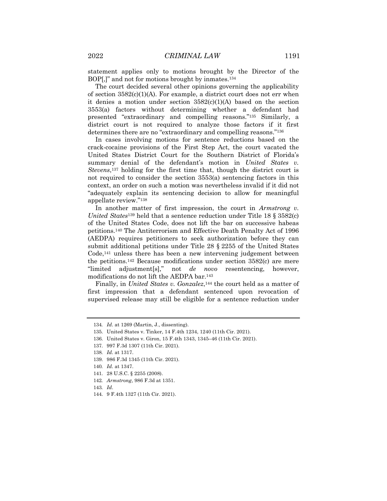statement applies only to motions brought by the Director of the BOP[,]" and not for motions brought by inmates.<sup>134</sup>

The court decided several other opinions governing the applicability of section  $3582(c)(1)(A)$ . For example, a district court does not err when it denies a motion under section  $3582(c)(1)(A)$  based on the section 3553(a) factors without determining whether a defendant had presented "extraordinary and compelling reasons."135 Similarly, a district court is not required to analyze those factors if it first determines there are no "extraordinary and compelling reasons."136

In cases involving motions for sentence reductions based on the crack-cocaine provisions of the First Step Act, the court vacated the United States District Court for the Southern District of Florida's summary denial of the defendant's motion in *United States v. Stevens*,137 holding for the first time that, though the district court is not required to consider the section 3553(a) sentencing factors in this context, an order on such a motion was nevertheless invalid if it did not "adequately explain its sentencing decision to allow for meaningful appellate review."138

In another matter of first impression, the court in *Armstrong v. United States*<sup>139</sup> held that a sentence reduction under Title 18 § 3582(c) of the United States Code, does not lift the bar on successive habeas petitions.140 The Antiterrorism and Effective Death Penalty Act of 1996 (AEDPA) requires petitioners to seek authorization before they can submit additional petitions under Title 28 § 2255 of the United States Code,141 unless there has been a new intervening judgement between the petitions.142 Because modifications under section 3582(c) are mere "limited adjustment[s]," not *de novo* resentencing, however, modifications do not lift the AEDPA bar.143

Finally, in *United States v. Gonzalez*,<sup>144</sup> the court held as a matter of first impression that a defendant sentenced upon revocation of supervised release may still be eligible for a sentence reduction under

<sup>134</sup>*. Id*. at 1269 (Martin, J., dissenting).

<sup>135.</sup> United States v. Tinker, 14 F.4th 1234, 1240 (11th Cir. 2021).

<sup>136.</sup> United States v. Giron, 15 F.4th 1343, 1345–46 (11th Cir. 2021).

<sup>137.</sup> 997 F.3d 1307 (11th Cir. 2021).

<sup>138</sup>*. Id.* at 1317.

<sup>139.</sup> 986 F.3d 1345 (11th Cir. 2021).

<sup>140</sup>*. Id.* at 1347.

<sup>141.</sup> 28 U.S.C. § 2255 (2008).

<sup>142</sup>*. Armstrong*, 986 F.3d at 1351.

<sup>143</sup>*. Id*.

<sup>144.</sup> 9 F.4th 1327 (11th Cir. 2021).